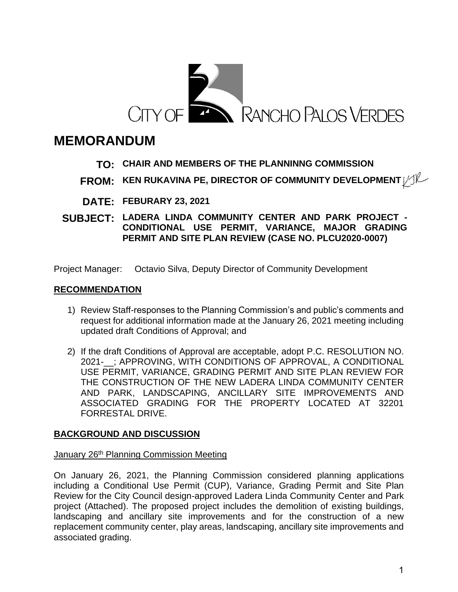

# **MEMORANDUM**

# **TO: CHAIR AND MEMBERS OF THE PLANNINNG COMMISSION**

- **FROM: KEN RUKAVINA PE, DIRECTOR OF COMMUNITY DEVELOPMENT**
- **DATE: FEBURARY 23, 2021**
- **SUBJECT: LADERA LINDA COMMUNITY CENTER AND PARK PROJECT - CONDITIONAL USE PERMIT, VARIANCE, MAJOR GRADING PERMIT AND SITE PLAN REVIEW (CASE NO. PLCU2020-0007)**

Project Manager: Octavio Silva, Deputy Director of Community Development

## **RECOMMENDATION**

- 1) Review Staff-responses to the Planning Commission's and public's comments and request for additional information made at the January 26, 2021 meeting including updated draft Conditions of Approval; and
- 2) If the draft Conditions of Approval are acceptable, adopt P.C. RESOLUTION NO. 2021-\_\_; APPROVING, WITH CONDITIONS OF APPROVAL, A CONDITIONAL USE PERMIT, VARIANCE, GRADING PERMIT AND SITE PLAN REVIEW FOR THE CONSTRUCTION OF THE NEW LADERA LINDA COMMUNITY CENTER AND PARK, LANDSCAPING, ANCILLARY SITE IMPROVEMENTS AND ASSOCIATED GRADING FOR THE PROPERTY LOCATED AT 32201 FORRESTAL DRIVE.

## **BACKGROUND AND DISCUSSION**

#### January 26<sup>th</sup> Planning Commission Meeting

On January 26, 2021, the Planning Commission considered planning applications including a Conditional Use Permit (CUP), Variance, Grading Permit and Site Plan Review for the City Council design-approved Ladera Linda Community Center and Park project (Attached). The proposed project includes the demolition of existing buildings, landscaping and ancillary site improvements and for the construction of a new replacement community center, play areas, landscaping, ancillary site improvements and associated grading.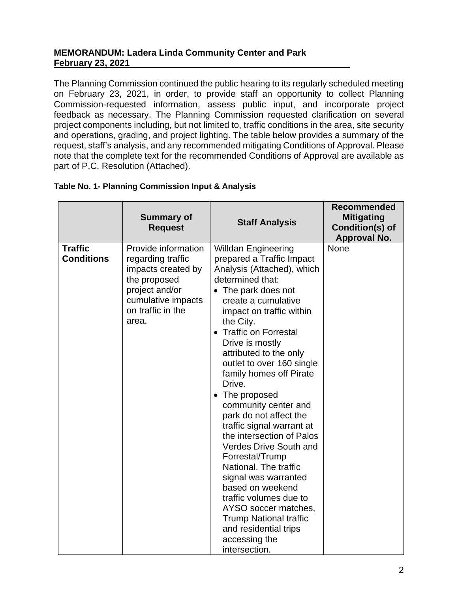The Planning Commission continued the public hearing to its regularly scheduled meeting on February 23, 2021, in order, to provide staff an opportunity to collect Planning Commission-requested information, assess public input, and incorporate project feedback as necessary. The Planning Commission requested clarification on several project components including, but not limited to, traffic conditions in the area, site security and operations, grading, and project lighting. The table below provides a summary of the request, staff's analysis, and any recommended mitigating Conditions of Approval. Please note that the complete text for the recommended Conditions of Approval are available as part of P.C. Resolution (Attached).

|                                     | <b>Summary of</b><br><b>Request</b>                                                                                                                  | <b>Staff Analysis</b>                                                                                                                                                                                                                                                                                                                                                                                                                                                                                                                                                                                                                                                                                                                          | <b>Recommended</b><br><b>Mitigating</b><br>Condition(s) of<br><b>Approval No.</b> |
|-------------------------------------|------------------------------------------------------------------------------------------------------------------------------------------------------|------------------------------------------------------------------------------------------------------------------------------------------------------------------------------------------------------------------------------------------------------------------------------------------------------------------------------------------------------------------------------------------------------------------------------------------------------------------------------------------------------------------------------------------------------------------------------------------------------------------------------------------------------------------------------------------------------------------------------------------------|-----------------------------------------------------------------------------------|
| <b>Traffic</b><br><b>Conditions</b> | Provide information<br>regarding traffic<br>impacts created by<br>the proposed<br>project and/or<br>cumulative impacts<br>on traffic in the<br>area. | <b>Willdan Engineering</b><br>prepared a Traffic Impact<br>Analysis (Attached), which<br>determined that:<br>• The park does not<br>create a cumulative<br>impact on traffic within<br>the City.<br>• Traffic on Forrestal<br>Drive is mostly<br>attributed to the only<br>outlet to over 160 single<br>family homes off Pirate<br>Drive.<br>• The proposed<br>community center and<br>park do not affect the<br>traffic signal warrant at<br>the intersection of Palos<br><b>Verdes Drive South and</b><br>Forrestal/Trump<br>National. The traffic<br>signal was warranted<br>based on weekend<br>traffic volumes due to<br>AYSO soccer matches,<br><b>Trump National traffic</b><br>and residential trips<br>accessing the<br>intersection. | <b>None</b>                                                                       |

## **Table No. 1- Planning Commission Input & Analysis**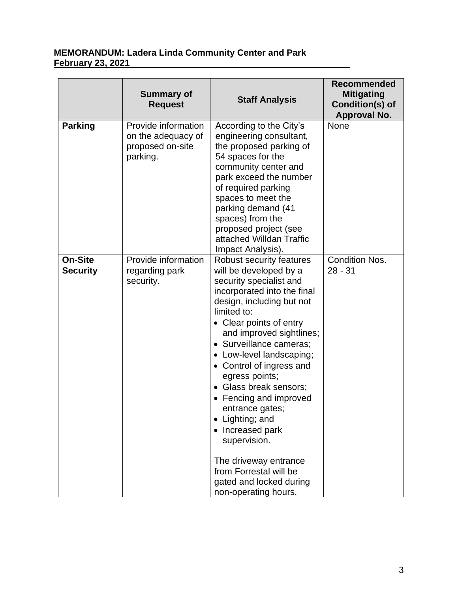|                                   | <b>Summary of</b><br><b>Request</b>                                       | <b>Staff Analysis</b>                                                                                                                                                                                                                                                                                                                                                                                                                                                                                                                                    | <b>Recommended</b><br><b>Mitigating</b><br>Condition(s) of<br>Approval No. |
|-----------------------------------|---------------------------------------------------------------------------|----------------------------------------------------------------------------------------------------------------------------------------------------------------------------------------------------------------------------------------------------------------------------------------------------------------------------------------------------------------------------------------------------------------------------------------------------------------------------------------------------------------------------------------------------------|----------------------------------------------------------------------------|
| <b>Parking</b>                    | Provide information<br>on the adequacy of<br>proposed on-site<br>parking. | According to the City's<br>engineering consultant,<br>the proposed parking of<br>54 spaces for the<br>community center and<br>park exceed the number<br>of required parking<br>spaces to meet the<br>parking demand (41<br>spaces) from the<br>proposed project (see<br>attached Willdan Traffic<br>Impact Analysis).                                                                                                                                                                                                                                    | None                                                                       |
| <b>On-Site</b><br><b>Security</b> | Provide information<br>regarding park<br>security.                        | Robust security features<br>will be developed by a<br>security specialist and<br>incorporated into the final<br>design, including but not<br>limited to:<br>• Clear points of entry<br>and improved sightlines;<br>· Surveillance cameras;<br>• Low-level landscaping;<br>• Control of ingress and<br>egress points;<br>• Glass break sensors;<br>• Fencing and improved<br>entrance gates;<br>• Lighting; and<br>• Increased park<br>supervision.<br>The driveway entrance<br>from Forrestal will be<br>gated and locked during<br>non-operating hours. | <b>Condition Nos.</b><br>$28 - 31$                                         |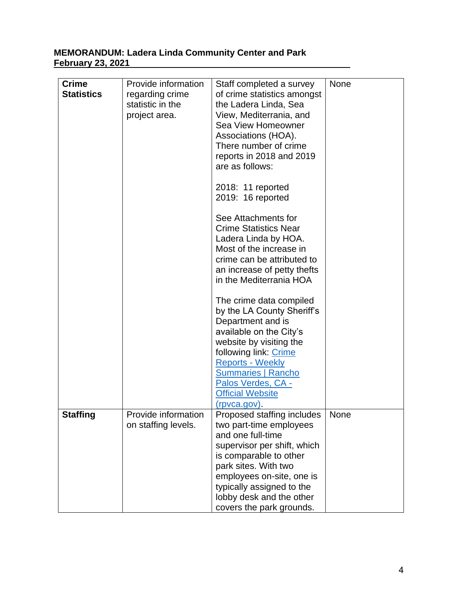| <b>Crime</b><br><b>Statistics</b> | Provide information<br>regarding crime<br>statistic in the<br>project area. | Staff completed a survey<br>of crime statistics amongst<br>the Ladera Linda, Sea<br>View, Mediterrania, and<br>Sea View Homeowner<br>Associations (HOA).<br>There number of crime<br>reports in 2018 and 2019<br>are as follows:<br>2018: 11 reported<br>2019: 16 reported<br>See Attachments for<br><b>Crime Statistics Near</b><br>Ladera Linda by HOA.<br>Most of the increase in<br>crime can be attributed to<br>an increase of petty thefts<br>in the Mediterrania HOA<br>The crime data compiled<br>by the LA County Sheriff's<br>Department and is<br>available on the City's<br>website by visiting the<br>following link: Crime<br><b>Reports - Weekly</b><br><b>Summaries   Rancho</b><br>Palos Verdes, CA - | None        |
|-----------------------------------|-----------------------------------------------------------------------------|-------------------------------------------------------------------------------------------------------------------------------------------------------------------------------------------------------------------------------------------------------------------------------------------------------------------------------------------------------------------------------------------------------------------------------------------------------------------------------------------------------------------------------------------------------------------------------------------------------------------------------------------------------------------------------------------------------------------------|-------------|
|                                   |                                                                             | <b>Official Website</b><br>(rpvca.gov).                                                                                                                                                                                                                                                                                                                                                                                                                                                                                                                                                                                                                                                                                 |             |
| <b>Staffing</b>                   | Provide information<br>on staffing levels.                                  | Proposed staffing includes<br>two part-time employees<br>and one full-time<br>supervisor per shift, which<br>is comparable to other<br>park sites. With two<br>employees on-site, one is<br>typically assigned to the<br>lobby desk and the other<br>covers the park grounds.                                                                                                                                                                                                                                                                                                                                                                                                                                           | <b>None</b> |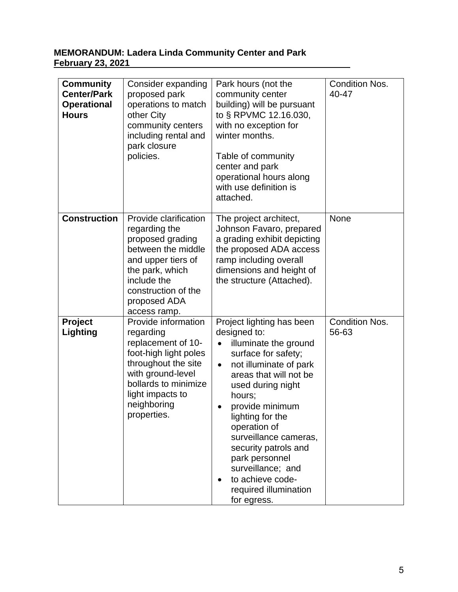| <b>Community</b><br><b>Center/Park</b><br><b>Operational</b><br><b>Hours</b> | Consider expanding<br>proposed park<br>operations to match<br>other City<br>community centers<br>including rental and<br>park closure<br>policies.                                                    | Park hours (not the<br>community center<br>building) will be pursuant<br>to § RPVMC 12.16.030,<br>with no exception for<br>winter months.<br>Table of community<br>center and park<br>operational hours along<br>with use definition is<br>attached.                                                                                                                                                 | <b>Condition Nos.</b><br>40-47 |
|------------------------------------------------------------------------------|-------------------------------------------------------------------------------------------------------------------------------------------------------------------------------------------------------|------------------------------------------------------------------------------------------------------------------------------------------------------------------------------------------------------------------------------------------------------------------------------------------------------------------------------------------------------------------------------------------------------|--------------------------------|
| <b>Construction</b>                                                          | Provide clarification<br>regarding the<br>proposed grading<br>between the middle<br>and upper tiers of<br>the park, which<br>include the<br>construction of the<br>proposed ADA<br>access ramp.       | The project architect,<br>Johnson Favaro, prepared<br>a grading exhibit depicting<br>the proposed ADA access<br>ramp including overall<br>dimensions and height of<br>the structure (Attached).                                                                                                                                                                                                      | <b>None</b>                    |
| <b>Project</b><br>Lighting                                                   | Provide information<br>regarding<br>replacement of 10-<br>foot-high light poles<br>throughout the site<br>with ground-level<br>bollards to minimize<br>light impacts to<br>neighboring<br>properties. | Project lighting has been<br>designed to:<br>illuminate the ground<br>surface for safety;<br>not illuminate of park<br>$\bullet$<br>areas that will not be<br>used during night<br>hours;<br>provide minimum<br>lighting for the<br>operation of<br>surveillance cameras,<br>security patrols and<br>park personnel<br>surveillance; and<br>to achieve code-<br>required illumination<br>for egress. | <b>Condition Nos.</b><br>56-63 |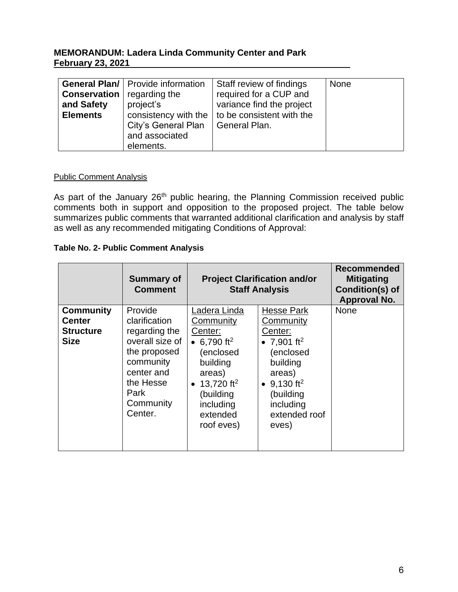| <b>General Plan/   Provide information</b><br><b>None</b><br>Staff review of findings<br>required for a CUP and<br><b>Conservation</b><br>regarding the<br>project's<br>variance find the project<br>and Safety<br>consistency with the $\vert$ to be consistent with the<br><b>Elements</b><br>City's General Plan<br>General Plan.<br>and associated<br>elements. |  |
|---------------------------------------------------------------------------------------------------------------------------------------------------------------------------------------------------------------------------------------------------------------------------------------------------------------------------------------------------------------------|--|
|---------------------------------------------------------------------------------------------------------------------------------------------------------------------------------------------------------------------------------------------------------------------------------------------------------------------------------------------------------------------|--|

#### Public Comment Analysis

As part of the January 26<sup>th</sup> public hearing, the Planning Commission received public comments both in support and opposition to the proposed project. The table below summarizes public comments that warranted additional clarification and analysis by staff as well as any recommended mitigating Conditions of Approval:

#### **Table No. 2- Public Comment Analysis**

|                                                                      | <b>Summary of</b><br><b>Comment</b>                                                                                                                  |                                                                                                                                                                                    | <b>Project Clarification and/or</b><br><b>Staff Analysis</b>                                                                                                                             | <b>Recommended</b><br><b>Mitigating</b><br>Condition(s) of<br>Approval No. |
|----------------------------------------------------------------------|------------------------------------------------------------------------------------------------------------------------------------------------------|------------------------------------------------------------------------------------------------------------------------------------------------------------------------------------|------------------------------------------------------------------------------------------------------------------------------------------------------------------------------------------|----------------------------------------------------------------------------|
| <b>Community</b><br><b>Center</b><br><b>Structure</b><br><b>Size</b> | Provide<br>clarification<br>regarding the<br>overall size of<br>the proposed<br>community<br>center and<br>the Hesse<br>Park<br>Community<br>Center. | Ladera Linda<br>Community<br>Center:<br>• 6,790 ft <sup>2</sup><br>(enclosed<br>building<br>areas)<br>• 13,720 ft <sup>2</sup><br>(building<br>including<br>extended<br>roof eves) | <b>Hesse Park</b><br>Community<br>Center:<br>• 7,901 ft <sup>2</sup><br>(enclosed<br>building<br>areas)<br>• $9,130$ ft <sup>2</sup><br>(building<br>including<br>extended roof<br>eves) | <b>None</b>                                                                |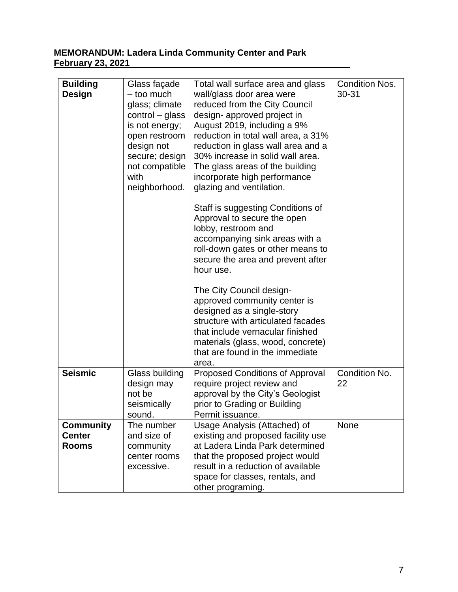| <b>Building</b><br><b>Design</b>                  | Glass façade<br>- too much<br>glass; climate<br>$control - glass$<br>is not energy;<br>open restroom<br>design not<br>secure; design<br>not compatible<br>with<br>neighborhood. | Total wall surface area and glass<br>wall/glass door area were<br>reduced from the City Council<br>design- approved project in<br>August 2019, including a 9%<br>reduction in total wall area, a 31%<br>reduction in glass wall area and a<br>30% increase in solid wall area.<br>The glass areas of the building<br>incorporate high performance<br>glazing and ventilation. | <b>Condition Nos.</b><br>$30 - 31$ |
|---------------------------------------------------|---------------------------------------------------------------------------------------------------------------------------------------------------------------------------------|-------------------------------------------------------------------------------------------------------------------------------------------------------------------------------------------------------------------------------------------------------------------------------------------------------------------------------------------------------------------------------|------------------------------------|
|                                                   |                                                                                                                                                                                 | Staff is suggesting Conditions of<br>Approval to secure the open<br>lobby, restroom and<br>accompanying sink areas with a<br>roll-down gates or other means to<br>secure the area and prevent after<br>hour use.                                                                                                                                                              |                                    |
|                                                   |                                                                                                                                                                                 | The City Council design-<br>approved community center is<br>designed as a single-story<br>structure with articulated facades<br>that include vernacular finished<br>materials (glass, wood, concrete)<br>that are found in the immediate<br>area.                                                                                                                             |                                    |
| <b>Seismic</b>                                    | Glass building<br>design may<br>not be<br>seismically<br>sound.                                                                                                                 | <b>Proposed Conditions of Approval</b><br>require project review and<br>approval by the City's Geologist<br>prior to Grading or Building<br>Permit issuance.                                                                                                                                                                                                                  | Condition No.<br>22                |
| <b>Community</b><br><b>Center</b><br><b>Rooms</b> | The number<br>and size of<br>community<br>center rooms<br>excessive.                                                                                                            | Usage Analysis (Attached) of<br>existing and proposed facility use<br>at Ladera Linda Park determined<br>that the proposed project would<br>result in a reduction of available<br>space for classes, rentals, and<br>other programing.                                                                                                                                        | None                               |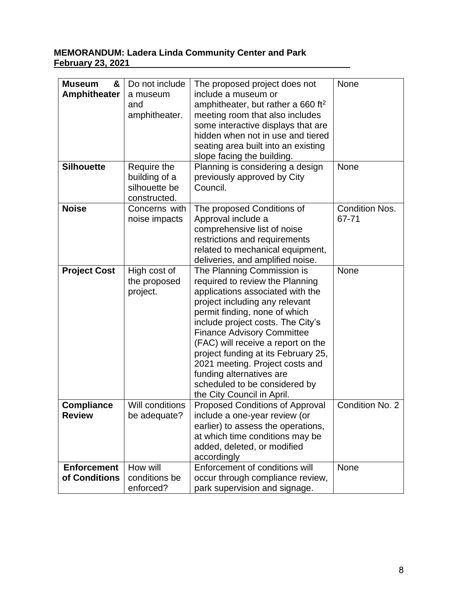| &<br><b>Museum</b><br><b>Amphitheater</b> | Do not include<br>a museum<br>and<br>amphitheater.            | The proposed project does not<br>include a museum or<br>amphitheater, but rather a 660 ft <sup>2</sup><br>meeting room that also includes<br>some interactive displays that are<br>hidden when not in use and tiered<br>seating area built into an existing<br>slope facing the building.                                                                                                                                                                 | None                    |
|-------------------------------------------|---------------------------------------------------------------|-----------------------------------------------------------------------------------------------------------------------------------------------------------------------------------------------------------------------------------------------------------------------------------------------------------------------------------------------------------------------------------------------------------------------------------------------------------|-------------------------|
| <b>Silhouette</b>                         | Require the<br>building of a<br>silhouette be<br>constructed. | Planning is considering a design<br>previously approved by City<br>Council.                                                                                                                                                                                                                                                                                                                                                                               | <b>None</b>             |
| <b>Noise</b>                              | Concerns with<br>noise impacts                                | The proposed Conditions of<br>Approval include a<br>comprehensive list of noise<br>restrictions and requirements<br>related to mechanical equipment,<br>deliveries, and amplified noise.                                                                                                                                                                                                                                                                  | Condition Nos.<br>67-71 |
| <b>Project Cost</b>                       | High cost of<br>the proposed<br>project.                      | The Planning Commission is<br>required to review the Planning<br>applications associated with the<br>project including any relevant<br>permit finding, none of which<br>include project costs. The City's<br><b>Finance Advisory Committee</b><br>(FAC) will receive a report on the<br>project funding at its February 25,<br>2021 meeting. Project costs and<br>funding alternatives are<br>scheduled to be considered by<br>the City Council in April. | None                    |
| <b>Compliance</b><br><b>Review</b>        | <b>Will conditions</b><br>be adequate?                        | <b>Proposed Conditions of Approval</b><br>include a one-year review (or<br>earlier) to assess the operations,<br>at which time conditions may be<br>added, deleted, or modified<br>accordingly                                                                                                                                                                                                                                                            | Condition No. 2         |
| <b>Enforcement</b><br>of Conditions       | How will<br>conditions be<br>enforced?                        | Enforcement of conditions will<br>occur through compliance review,<br>park supervision and signage.                                                                                                                                                                                                                                                                                                                                                       | <b>None</b>             |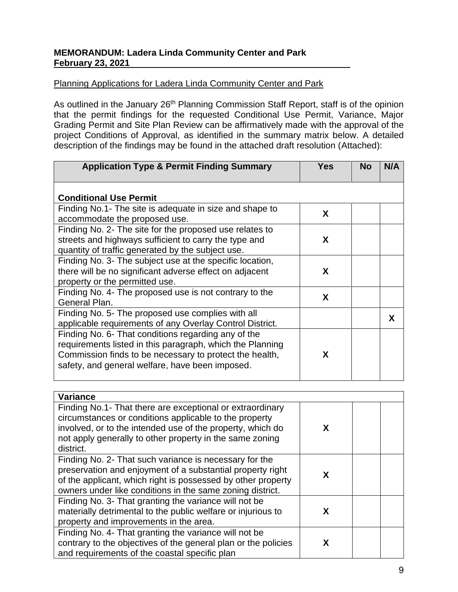# Planning Applications for Ladera Linda Community Center and Park

As outlined in the January 26<sup>th</sup> Planning Commission Staff Report, staff is of the opinion that the permit findings for the requested Conditional Use Permit, Variance, Major Grading Permit and Site Plan Review can be affirmatively made with the approval of the project Conditions of Approval, as identified in the summary matrix below. A detailed description of the findings may be found in the attached draft resolution (Attached):

| <b>Application Type &amp; Permit Finding Summary</b>                                                                                                                                                                           | <b>Yes</b> | <b>No</b> | N/A |
|--------------------------------------------------------------------------------------------------------------------------------------------------------------------------------------------------------------------------------|------------|-----------|-----|
| <b>Conditional Use Permit</b>                                                                                                                                                                                                  |            |           |     |
| Finding No.1- The site is adequate in size and shape to<br>accommodate the proposed use.                                                                                                                                       | X          |           |     |
| Finding No. 2- The site for the proposed use relates to<br>streets and highways sufficient to carry the type and<br>quantity of traffic generated by the subject use.                                                          | X          |           |     |
| Finding No. 3- The subject use at the specific location,<br>there will be no significant adverse effect on adjacent<br>property or the permitted use.                                                                          | X          |           |     |
| Finding No. 4- The proposed use is not contrary to the<br>General Plan.                                                                                                                                                        | X          |           |     |
| Finding No. 5- The proposed use complies with all<br>applicable requirements of any Overlay Control District.                                                                                                                  |            |           | X   |
| Finding No. 6- That conditions regarding any of the<br>requirements listed in this paragraph, which the Planning<br>Commission finds to be necessary to protect the health,<br>safety, and general welfare, have been imposed. | X          |           |     |

| <b>Variance</b>                                                                                                                                                                                                                                            |   |  |
|------------------------------------------------------------------------------------------------------------------------------------------------------------------------------------------------------------------------------------------------------------|---|--|
| Finding No.1- That there are exceptional or extraordinary<br>circumstances or conditions applicable to the property<br>involved, or to the intended use of the property, which do<br>not apply generally to other property in the same zoning<br>district. | x |  |
| Finding No. 2- That such variance is necessary for the<br>preservation and enjoyment of a substantial property right<br>of the applicant, which right is possessed by other property<br>owners under like conditions in the same zoning district.          | x |  |
| Finding No. 3- That granting the variance will not be<br>materially detrimental to the public welfare or injurious to<br>property and improvements in the area.                                                                                            | x |  |
| Finding No. 4- That granting the variance will not be<br>contrary to the objectives of the general plan or the policies<br>and requirements of the coastal specific plan                                                                                   | x |  |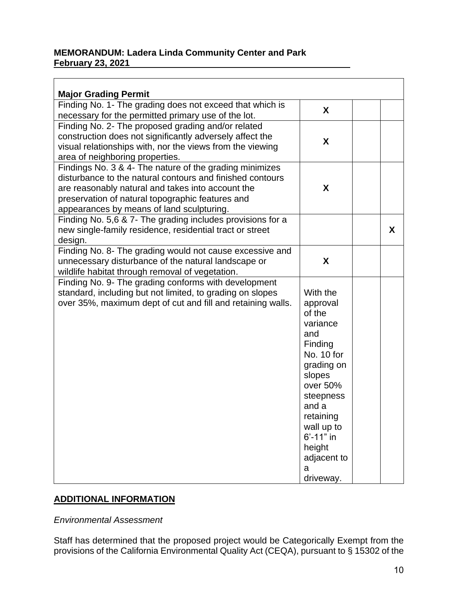| <b>Major Grading Permit</b><br>Finding No. 1- The grading does not exceed that which is<br>necessary for the permitted primary use of the lot.                                                                                                                             | X                                                                                                                                                                                                                       |   |
|----------------------------------------------------------------------------------------------------------------------------------------------------------------------------------------------------------------------------------------------------------------------------|-------------------------------------------------------------------------------------------------------------------------------------------------------------------------------------------------------------------------|---|
| Finding No. 2- The proposed grading and/or related<br>construction does not significantly adversely affect the<br>visual relationships with, nor the views from the viewing<br>area of neighboring properties.                                                             | X                                                                                                                                                                                                                       |   |
| Findings No. 3 & 4- The nature of the grading minimizes<br>disturbance to the natural contours and finished contours<br>are reasonably natural and takes into account the<br>preservation of natural topographic features and<br>appearances by means of land sculpturing. | X                                                                                                                                                                                                                       |   |
| Finding No. 5,6 & 7- The grading includes provisions for a<br>new single-family residence, residential tract or street<br>design.                                                                                                                                          |                                                                                                                                                                                                                         | X |
| Finding No. 8- The grading would not cause excessive and<br>unnecessary disturbance of the natural landscape or<br>wildlife habitat through removal of vegetation.                                                                                                         | X                                                                                                                                                                                                                       |   |
| Finding No. 9- The grading conforms with development<br>standard, including but not limited, to grading on slopes<br>over 35%, maximum dept of cut and fill and retaining walls.                                                                                           | With the<br>approval<br>of the<br>variance<br>and<br>Finding<br>No. 10 for<br>grading on<br>slopes<br>over 50%<br>steepness<br>and a<br>retaining<br>wall up to<br>6'-11" in<br>height<br>adjacent to<br>a<br>driveway. |   |

# **ADDITIONAL INFORMATION**

*Environmental Assessment*

Staff has determined that the proposed project would be Categorically Exempt from the provisions of the California Environmental Quality Act (CEQA), pursuant to § 15302 of the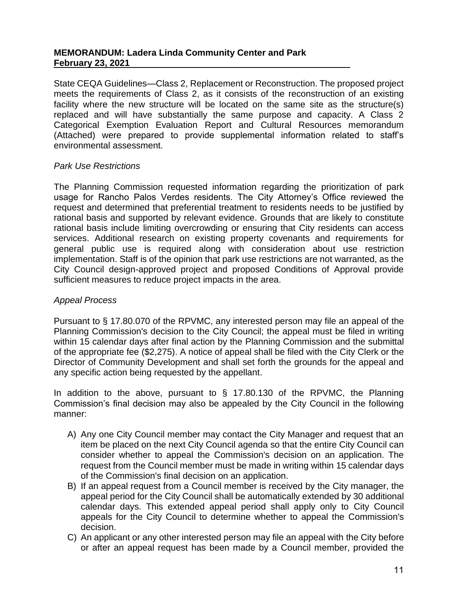State CEQA Guidelines—Class 2, Replacement or Reconstruction. The proposed project meets the requirements of Class 2, as it consists of the reconstruction of an existing facility where the new structure will be located on the same site as the structure(s) replaced and will have substantially the same purpose and capacity. A Class 2 Categorical Exemption Evaluation Report and Cultural Resources memorandum (Attached) were prepared to provide supplemental information related to staff's environmental assessment.

#### *Park Use Restrictions*

The Planning Commission requested information regarding the prioritization of park usage for Rancho Palos Verdes residents. The City Attorney's Office reviewed the request and determined that preferential treatment to residents needs to be justified by rational basis and supported by relevant evidence. Grounds that are likely to constitute rational basis include limiting overcrowding or ensuring that City residents can access services. Additional research on existing property covenants and requirements for general public use is required along with consideration about use restriction implementation. Staff is of the opinion that park use restrictions are not warranted, as the City Council design-approved project and proposed Conditions of Approval provide sufficient measures to reduce project impacts in the area.

#### *Appeal Process*

Pursuant to § 17.80.070 of the RPVMC, any interested person may file an appeal of the Planning Commission's decision to the City Council; the appeal must be filed in writing within 15 calendar days after final action by the Planning Commission and the submittal of the appropriate fee (\$2,275). A notice of appeal shall be filed with the City Clerk or the Director of Community Development and shall set forth the grounds for the appeal and any specific action being requested by the appellant.

In addition to the above, pursuant to § 17.80.130 of the RPVMC, the Planning Commission's final decision may also be appealed by the City Council in the following manner:

- A) Any one City Council member may contact the City Manager and request that an item be placed on the next City Council agenda so that the entire City Council can consider whether to appeal the Commission's decision on an application. The request from the Council member must be made in writing within 15 calendar days of the Commission's final decision on an application.
- B) If an appeal request from a Council member is received by the City manager, the appeal period for the City Council shall be automatically extended by 30 additional calendar days. This extended appeal period shall apply only to City Council appeals for the City Council to determine whether to appeal the Commission's decision.
- C) An applicant or any other interested person may file an appeal with the City before or after an appeal request has been made by a Council member, provided the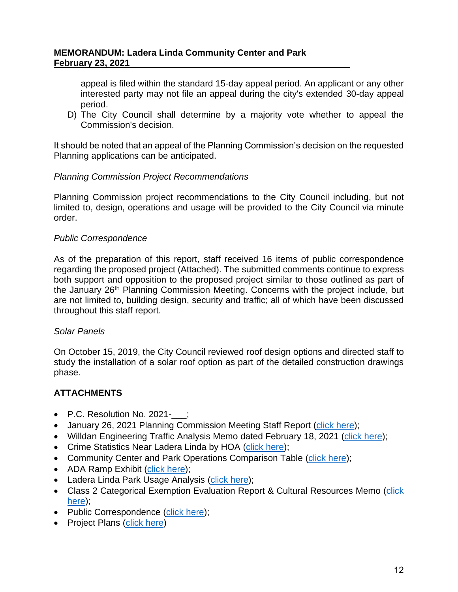appeal is filed within the standard 15-day appeal period. An applicant or any other interested party may not file an appeal during the city's extended 30-day appeal period.

D) The City Council shall determine by a majority vote whether to appeal the Commission's decision.

It should be noted that an appeal of the Planning Commission's decision on the requested Planning applications can be anticipated.

## *Planning Commission Project Recommendations*

Planning Commission project recommendations to the City Council including, but not limited to, design, operations and usage will be provided to the City Council via minute order.

## *Public Correspondence*

As of the preparation of this report, staff received 16 items of public correspondence regarding the proposed project (Attached). The submitted comments continue to express both support and opposition to the proposed project similar to those outlined as part of the January 26<sup>th</sup> Planning Commission Meeting. Concerns with the project include, but are not limited to, building design, security and traffic; all of which have been discussed throughout this staff report.

## *Solar Panels*

On October 15, 2019, the City Council reviewed roof design options and directed staff to study the installation of a solar roof option as part of the detailed construction drawings phase.

# **ATTACHMENTS**

- P.C. Resolution No. 2021-\_\_;
- January 26, 2021 Planning Commission Meeting Staff Report [\(click here\)](https://rpv.granicus.com/MetaViewer.php?view_id=5&clip_id=3823&meta_id=90257);
- Willdan Engineering Traffic Analysis Memo dated February 18, 2021 [\(click here\)](https://www.rpvca.gov/DocumentCenter/View/16723/109373--DRAFT-Ladera-Linda-Park-TIA_OS_REVISED);
- Crime Statistics Near Ladera Linda by HOA [\(click here\)](https://www.rpvca.gov/DocumentCenter/View/16717/9_Crime-Stats-Near-Ladera-Linda-by-HOA);
- Community Center and Park Operations Comparison Table [\(click here\)](https://www.rpvca.gov/DocumentCenter/View/16725/5_Park-Community-Center-Operational-Tables);
- ADA Ramp Exhibit [\(click here\)](https://www.rpvca.gov/DocumentCenter/View/16719/7_ADA-Ramp-rendering);
- Ladera Linda Park Usage Analysis [\(click here\)](https://www.rpvca.gov/DocumentCenter/View/16724/6_Ladera-Linda-Uses-Tables);
- Class 2 Categorical Exemption Evaluation Report & Cultural Resources Memo (click [here\)](https://www.rpvca.gov/DocumentCenter/View/16718/8_CE-Evaluation-Report_Ladera-Linda_02-18-21);
- Public Correspondence [\(click here\)](https://www.rpvca.gov/DocumentCenter/View/16716/10_Public-Comments_Combined-1-16);
- Project Plans [\(click here\)](https://www.rpvca.gov/DocumentCenter/View/16720/_100DD_Ladera-Linda-Community-Center_COMBINED-2)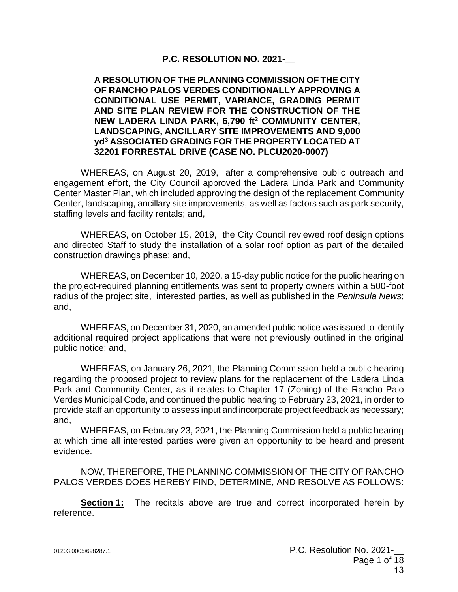#### **P.C. RESOLUTION NO. 2021-\_\_**

#### **A RESOLUTION OF THE PLANNING COMMISSION OF THE CITY OF RANCHO PALOS VERDES CONDITIONALLY APPROVING A CONDITIONAL USE PERMIT, VARIANCE, GRADING PERMIT AND SITE PLAN REVIEW FOR THE CONSTRUCTION OF THE NEW LADERA LINDA PARK, 6,790 ft<sup>2</sup> COMMUNITY CENTER, LANDSCAPING, ANCILLARY SITE IMPROVEMENTS AND 9,000 yd<sup>3</sup> ASSOCIATED GRADING FOR THE PROPERTY LOCATED AT 32201 FORRESTAL DRIVE (CASE NO. PLCU2020-0007)**

WHEREAS, on August 20, 2019, after a comprehensive public outreach and engagement effort, the City Council approved the Ladera Linda Park and Community Center Master Plan, which included approving the design of the replacement Community Center, landscaping, ancillary site improvements, as well as factors such as park security, staffing levels and facility rentals; and,

WHEREAS, on October 15, 2019, the City Council reviewed roof design options and directed Staff to study the installation of a solar roof option as part of the detailed construction drawings phase; and,

WHEREAS, on December 10, 2020, a 15-day public notice for the public hearing on the project-required planning entitlements was sent to property owners within a 500-foot radius of the project site, interested parties, as well as published in the *Peninsula News*; and,

WHEREAS, on December 31, 2020, an amended public notice was issued to identify additional required project applications that were not previously outlined in the original public notice; and,

WHEREAS, on January 26, 2021, the Planning Commission held a public hearing regarding the proposed project to review plans for the replacement of the Ladera Linda Park and Community Center, as it relates to Chapter 17 (Zoning) of the Rancho Palo Verdes Municipal Code, and continued the public hearing to February 23, 2021, in order to provide staff an opportunity to assess input and incorporate project feedback as necessary; and,

WHEREAS, on February 23, 2021, the Planning Commission held a public hearing at which time all interested parties were given an opportunity to be heard and present evidence.

NOW, THEREFORE, THE PLANNING COMMISSION OF THE CITY OF RANCHO PALOS VERDES DOES HEREBY FIND, DETERMINE, AND RESOLVE AS FOLLOWS:

**Section 1:** The recitals above are true and correct incorporated herein by reference.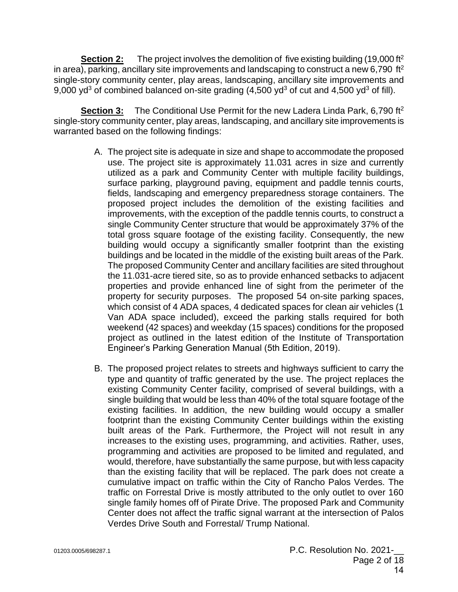**Section 2:** The project involves the demolition of five existing building (19,000 ft<sup>2</sup>) in area), parking, ancillary site improvements and landscaping to construct a new 6,790 ft<sup>2</sup> single-story community center, play areas, landscaping, ancillary site improvements and 9,000  $\gamma d^3$  of combined balanced on-site grading (4,500  $\gamma d^3$  of cut and 4,500  $\gamma d^3$  of fill).

Section 3: The Conditional Use Permit for the new Ladera Linda Park, 6,790 ft<sup>2</sup> single-story community center, play areas, landscaping, and ancillary site improvements is warranted based on the following findings:

- A. The project site is adequate in size and shape to accommodate the proposed use. The project site is approximately 11.031 acres in size and currently utilized as a park and Community Center with multiple facility buildings, surface parking, playground paving, equipment and paddle tennis courts, fields, landscaping and emergency preparedness storage containers. The proposed project includes the demolition of the existing facilities and improvements, with the exception of the paddle tennis courts, to construct a single Community Center structure that would be approximately 37% of the total gross square footage of the existing facility. Consequently, the new building would occupy a significantly smaller footprint than the existing buildings and be located in the middle of the existing built areas of the Park. The proposed Community Center and ancillary facilities are sited throughout the 11.031-acre tiered site, so as to provide enhanced setbacks to adjacent properties and provide enhanced line of sight from the perimeter of the property for security purposes. The proposed 54 on-site parking spaces, which consist of 4 ADA spaces, 4 dedicated spaces for clean air vehicles (1 Van ADA space included), exceed the parking stalls required for both weekend (42 spaces) and weekday (15 spaces) conditions for the proposed project as outlined in the latest edition of the Institute of Transportation Engineer's Parking Generation Manual (5th Edition, 2019).
- B. The proposed project relates to streets and highways sufficient to carry the type and quantity of traffic generated by the use. The project replaces the existing Community Center facility, comprised of several buildings, with a single building that would be less than 40% of the total square footage of the existing facilities. In addition, the new building would occupy a smaller footprint than the existing Community Center buildings within the existing built areas of the Park. Furthermore, the Project will not result in any increases to the existing uses, programming, and activities. Rather, uses, programming and activities are proposed to be limited and regulated, and would, therefore, have substantially the same purpose, but with less capacity than the existing facility that will be replaced. The park does not create a cumulative impact on traffic within the City of Rancho Palos Verdes. The traffic on Forrestal Drive is mostly attributed to the only outlet to over 160 single family homes off of Pirate Drive. The proposed Park and Community Center does not affect the traffic signal warrant at the intersection of Palos Verdes Drive South and Forrestal/ Trump National.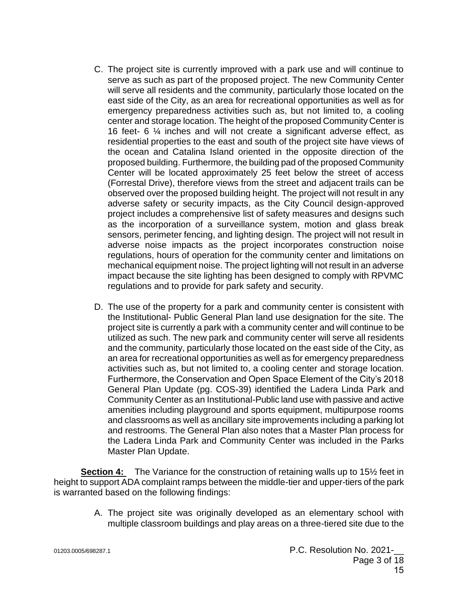- C. The project site is currently improved with a park use and will continue to serve as such as part of the proposed project. The new Community Center will serve all residents and the community, particularly those located on the east side of the City, as an area for recreational opportunities as well as for emergency preparedness activities such as, but not limited to, a cooling center and storage location. The height of the proposed Community Center is 16 feet- 6 ¼ inches and will not create a significant adverse effect, as residential properties to the east and south of the project site have views of the ocean and Catalina Island oriented in the opposite direction of the proposed building. Furthermore, the building pad of the proposed Community Center will be located approximately 25 feet below the street of access (Forrestal Drive), therefore views from the street and adjacent trails can be observed over the proposed building height. The project will not result in any adverse safety or security impacts, as the City Council design-approved project includes a comprehensive list of safety measures and designs such as the incorporation of a surveillance system, motion and glass break sensors, perimeter fencing, and lighting design. The project will not result in adverse noise impacts as the project incorporates construction noise regulations, hours of operation for the community center and limitations on mechanical equipment noise. The project lighting will not result in an adverse impact because the site lighting has been designed to comply with RPVMC regulations and to provide for park safety and security.
- D. The use of the property for a park and community center is consistent with the Institutional- Public General Plan land use designation for the site. The project site is currently a park with a community center and will continue to be utilized as such. The new park and community center will serve all residents and the community, particularly those located on the east side of the City, as an area for recreational opportunities as well as for emergency preparedness activities such as, but not limited to, a cooling center and storage location. Furthermore, the Conservation and Open Space Element of the City's 2018 General Plan Update (pg. COS-39) identified the Ladera Linda Park and Community Center as an Institutional-Public land use with passive and active amenities including playground and sports equipment, multipurpose rooms and classrooms as well as ancillary site improvements including a parking lot and restrooms. The General Plan also notes that a Master Plan process for the Ladera Linda Park and Community Center was included in the Parks Master Plan Update.

**Section 4:** The Variance for the construction of retaining walls up to 15<sup>1/2</sup> feet in height to support ADA complaint ramps between the middle-tier and upper-tiers of the park is warranted based on the following findings:

> A. The project site was originally developed as an elementary school with multiple classroom buildings and play areas on a three-tiered site due to the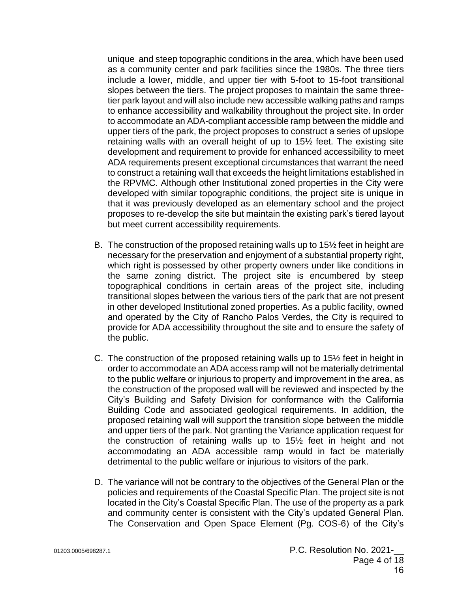unique and steep topographic conditions in the area, which have been used as a community center and park facilities since the 1980s. The three tiers include a lower, middle, and upper tier with 5-foot to 15-foot transitional slopes between the tiers. The project proposes to maintain the same threetier park layout and will also include new accessible walking paths and ramps to enhance accessibility and walkability throughout the project site. In order to accommodate an ADA-compliant accessible ramp between the middle and upper tiers of the park, the project proposes to construct a series of upslope retaining walls with an overall height of up to 15½ feet. The existing site development and requirement to provide for enhanced accessibility to meet ADA requirements present exceptional circumstances that warrant the need to construct a retaining wall that exceeds the height limitations established in the RPVMC. Although other Institutional zoned properties in the City were developed with similar topographic conditions, the project site is unique in that it was previously developed as an elementary school and the project proposes to re-develop the site but maintain the existing park's tiered layout but meet current accessibility requirements.

- B. The construction of the proposed retaining walls up to 15½ feet in height are necessary for the preservation and enjoyment of a substantial property right, which right is possessed by other property owners under like conditions in the same zoning district. The project site is encumbered by steep topographical conditions in certain areas of the project site, including transitional slopes between the various tiers of the park that are not present in other developed Institutional zoned properties. As a public facility, owned and operated by the City of Rancho Palos Verdes, the City is required to provide for ADA accessibility throughout the site and to ensure the safety of the public.
- C. The construction of the proposed retaining walls up to 15½ feet in height in order to accommodate an ADA access ramp will not be materially detrimental to the public welfare or injurious to property and improvement in the area, as the construction of the proposed wall will be reviewed and inspected by the City's Building and Safety Division for conformance with the California Building Code and associated geological requirements. In addition, the proposed retaining wall will support the transition slope between the middle and upper tiers of the park. Not granting the Variance application request for the construction of retaining walls up to 15½ feet in height and not accommodating an ADA accessible ramp would in fact be materially detrimental to the public welfare or injurious to visitors of the park.
- D. The variance will not be contrary to the objectives of the General Plan or the policies and requirements of the Coastal Specific Plan. The project site is not located in the City's Coastal Specific Plan. The use of the property as a park and community center is consistent with the City's updated General Plan. The Conservation and Open Space Element (Pg. COS-6) of the City's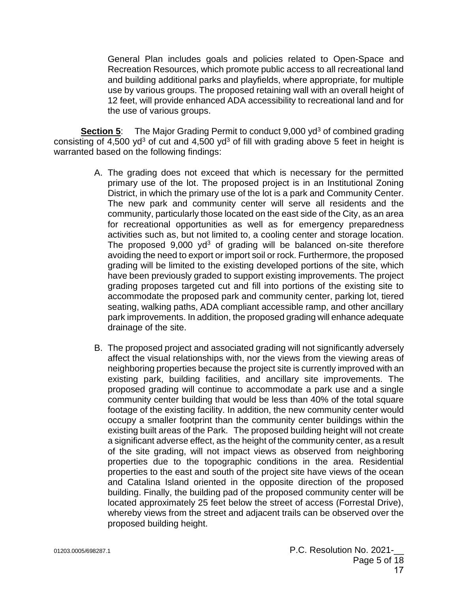General Plan includes goals and policies related to Open-Space and Recreation Resources, which promote public access to all recreational land and building additional parks and playfields, where appropriate, for multiple use by various groups. The proposed retaining wall with an overall height of 12 feet, will provide enhanced ADA accessibility to recreational land and for the use of various groups.

**Section 5:** The Major Grading Permit to conduct 9,000 yd<sup>3</sup> of combined grading consisting of 4,500 yd<sup>3</sup> of cut and 4,500 yd<sup>3</sup> of fill with grading above 5 feet in height is warranted based on the following findings:

- A. The grading does not exceed that which is necessary for the permitted primary use of the lot. The proposed project is in an Institutional Zoning District, in which the primary use of the lot is a park and Community Center. The new park and community center will serve all residents and the community, particularly those located on the east side of the City, as an area for recreational opportunities as well as for emergency preparedness activities such as, but not limited to, a cooling center and storage location. The proposed  $9,000$  yd<sup>3</sup> of grading will be balanced on-site therefore avoiding the need to export or import soil or rock. Furthermore, the proposed grading will be limited to the existing developed portions of the site, which have been previously graded to support existing improvements. The project grading proposes targeted cut and fill into portions of the existing site to accommodate the proposed park and community center, parking lot, tiered seating, walking paths, ADA compliant accessible ramp, and other ancillary park improvements. In addition, the proposed grading will enhance adequate drainage of the site.
- B. The proposed project and associated grading will not significantly adversely affect the visual relationships with, nor the views from the viewing areas of neighboring properties because the project site is currently improved with an existing park, building facilities, and ancillary site improvements. The proposed grading will continue to accommodate a park use and a single community center building that would be less than 40% of the total square footage of the existing facility. In addition, the new community center would occupy a smaller footprint than the community center buildings within the existing built areas of the Park. The proposed building height will not create a significant adverse effect, as the height of the community center, as a result of the site grading, will not impact views as observed from neighboring properties due to the topographic conditions in the area. Residential properties to the east and south of the project site have views of the ocean and Catalina Island oriented in the opposite direction of the proposed building. Finally, the building pad of the proposed community center will be located approximately 25 feet below the street of access (Forrestal Drive), whereby views from the street and adjacent trails can be observed over the proposed building height.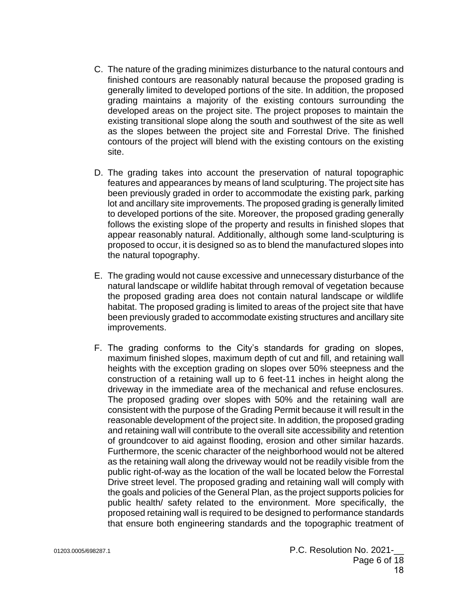- C. The nature of the grading minimizes disturbance to the natural contours and finished contours are reasonably natural because the proposed grading is generally limited to developed portions of the site. In addition, the proposed grading maintains a majority of the existing contours surrounding the developed areas on the project site. The project proposes to maintain the existing transitional slope along the south and southwest of the site as well as the slopes between the project site and Forrestal Drive. The finished contours of the project will blend with the existing contours on the existing site.
- D. The grading takes into account the preservation of natural topographic features and appearances by means of land sculpturing. The project site has been previously graded in order to accommodate the existing park, parking lot and ancillary site improvements. The proposed grading is generally limited to developed portions of the site. Moreover, the proposed grading generally follows the existing slope of the property and results in finished slopes that appear reasonably natural. Additionally, although some land-sculpturing is proposed to occur, it is designed so as to blend the manufactured slopes into the natural topography.
- E. The grading would not cause excessive and unnecessary disturbance of the natural landscape or wildlife habitat through removal of vegetation because the proposed grading area does not contain natural landscape or wildlife habitat. The proposed grading is limited to areas of the project site that have been previously graded to accommodate existing structures and ancillary site improvements.
- F. The grading conforms to the City's standards for grading on slopes, maximum finished slopes, maximum depth of cut and fill, and retaining wall heights with the exception grading on slopes over 50% steepness and the construction of a retaining wall up to 6 feet-11 inches in height along the driveway in the immediate area of the mechanical and refuse enclosures. The proposed grading over slopes with 50% and the retaining wall are consistent with the purpose of the Grading Permit because it will result in the reasonable development of the project site. In addition, the proposed grading and retaining wall will contribute to the overall site accessibility and retention of groundcover to aid against flooding, erosion and other similar hazards. Furthermore, the scenic character of the neighborhood would not be altered as the retaining wall along the driveway would not be readily visible from the public right-of-way as the location of the wall be located below the Forrestal Drive street level. The proposed grading and retaining wall will comply with the goals and policies of the General Plan, as the project supports policies for public health/ safety related to the environment. More specifically, the proposed retaining wall is required to be designed to performance standards that ensure both engineering standards and the topographic treatment of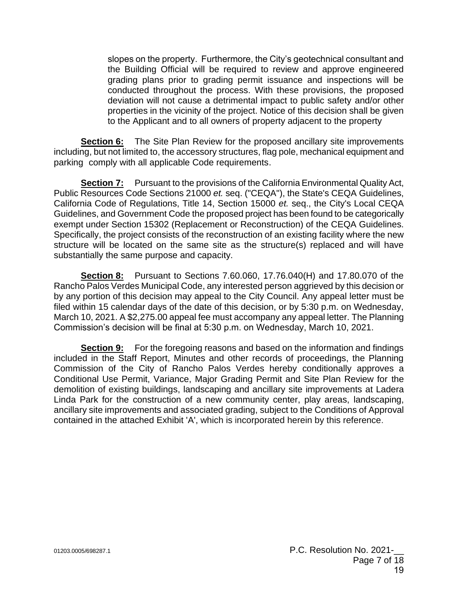slopes on the property. Furthermore, the City's geotechnical consultant and the Building Official will be required to review and approve engineered grading plans prior to grading permit issuance and inspections will be conducted throughout the process. With these provisions, the proposed deviation will not cause a detrimental impact to public safety and/or other properties in the vicinity of the project. Notice of this decision shall be given to the Applicant and to all owners of property adjacent to the property

**Section 6:** The Site Plan Review for the proposed ancillary site improvements including, but not limited to, the accessory structures, flag pole, mechanical equipment and parking comply with all applicable Code requirements.

**Section 7:** Pursuant to the provisions of the California Environmental Quality Act, Public Resources Code Sections 21000 *et.* seq. ("CEQA"), the State's CEQA Guidelines, California Code of Regulations, Title 14, Section 15000 *et.* seq., the City's Local CEQA Guidelines, and Government Code the proposed project has been found to be categorically exempt under Section 15302 (Replacement or Reconstruction) of the CEQA Guidelines. Specifically, the project consists of the reconstruction of an existing facility where the new structure will be located on the same site as the structure(s) replaced and will have substantially the same purpose and capacity.

**Section 8:** Pursuant to Sections 7.60.060, 17.76.040(H) and 17.80.070 of the Rancho Palos Verdes Municipal Code, any interested person aggrieved by this decision or by any portion of this decision may appeal to the City Council. Any appeal letter must be filed within 15 calendar days of the date of this decision, or by 5:30 p.m. on Wednesday, March 10, 2021. A \$2,275.00 appeal fee must accompany any appeal letter. The Planning Commission's decision will be final at 5:30 p.m. on Wednesday, March 10, 2021.

**Section 9:** For the foregoing reasons and based on the information and findings included in the Staff Report, Minutes and other records of proceedings, the Planning Commission of the City of Rancho Palos Verdes hereby conditionally approves a Conditional Use Permit, Variance, Major Grading Permit and Site Plan Review for the demolition of existing buildings, landscaping and ancillary site improvements at Ladera Linda Park for the construction of a new community center, play areas, landscaping, ancillary site improvements and associated grading, subject to the Conditions of Approval contained in the attached Exhibit 'A', which is incorporated herein by this reference.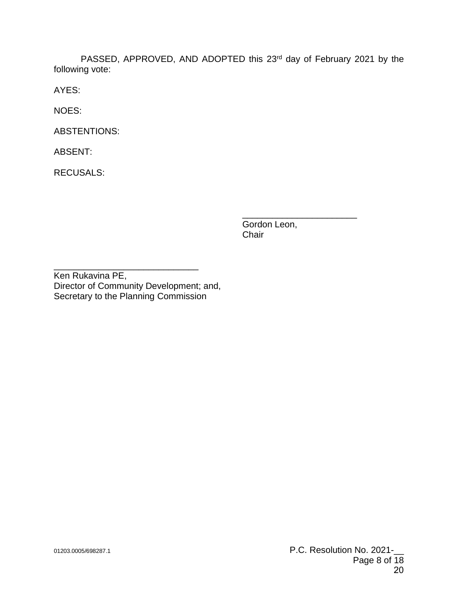PASSED, APPROVED, AND ADOPTED this 23rd day of February 2021 by the following vote:

AYES:

NOES:

ABSTENTIONS:

ABSENT:

RECUSALS:

Gordon Leon, Chair

\_\_\_\_\_\_\_\_\_\_\_\_\_\_\_\_\_\_\_\_\_\_\_

\_\_\_\_\_\_\_\_\_\_\_\_\_\_\_\_\_\_\_\_\_\_\_\_\_\_\_\_\_ Ken Rukavina PE, Director of Community Development; and, Secretary to the Planning Commission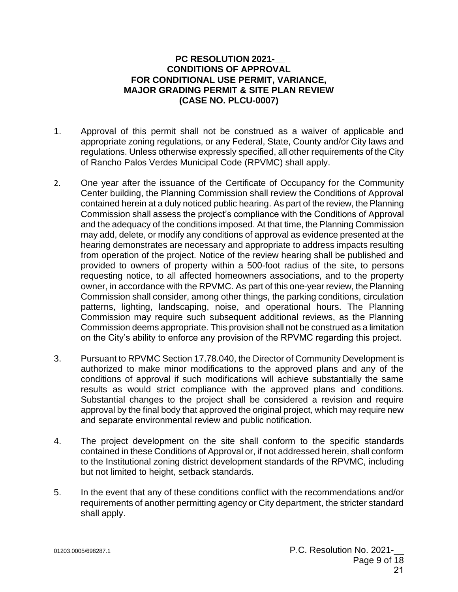#### **PC RESOLUTION 2021-\_\_ CONDITIONS OF APPROVAL FOR CONDITIONAL USE PERMIT, VARIANCE, MAJOR GRADING PERMIT & SITE PLAN REVIEW (CASE NO. PLCU-0007)**

- 1. Approval of this permit shall not be construed as a waiver of applicable and appropriate zoning regulations, or any Federal, State, County and/or City laws and regulations. Unless otherwise expressly specified, all other requirements of the City of Rancho Palos Verdes Municipal Code (RPVMC) shall apply.
- 2. One year after the issuance of the Certificate of Occupancy for the Community Center building, the Planning Commission shall review the Conditions of Approval contained herein at a duly noticed public hearing. As part of the review, the Planning Commission shall assess the project's compliance with the Conditions of Approval and the adequacy of the conditions imposed. At that time, the Planning Commission may add, delete, or modify any conditions of approval as evidence presented at the hearing demonstrates are necessary and appropriate to address impacts resulting from operation of the project. Notice of the review hearing shall be published and provided to owners of property within a 500-foot radius of the site, to persons requesting notice, to all affected homeowners associations, and to the property owner, in accordance with the RPVMC. As part of this one-year review, the Planning Commission shall consider, among other things, the parking conditions, circulation patterns, lighting, landscaping, noise, and operational hours. The Planning Commission may require such subsequent additional reviews, as the Planning Commission deems appropriate. This provision shall not be construed as a limitation on the City's ability to enforce any provision of the RPVMC regarding this project.
- 3. Pursuant to RPVMC Section 17.78.040, the Director of Community Development is authorized to make minor modifications to the approved plans and any of the conditions of approval if such modifications will achieve substantially the same results as would strict compliance with the approved plans and conditions. Substantial changes to the project shall be considered a revision and require approval by the final body that approved the original project, which may require new and separate environmental review and public notification.
- 4. The project development on the site shall conform to the specific standards contained in these Conditions of Approval or, if not addressed herein, shall conform to the Institutional zoning district development standards of the RPVMC, including but not limited to height, setback standards.
- 5. In the event that any of these conditions conflict with the recommendations and/or requirements of another permitting agency or City department, the stricter standard shall apply.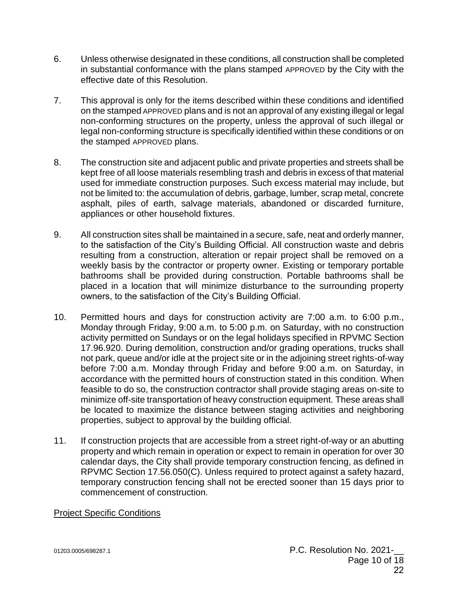- 6. Unless otherwise designated in these conditions, all construction shall be completed in substantial conformance with the plans stamped APPROVED by the City with the effective date of this Resolution.
- 7. This approval is only for the items described within these conditions and identified on the stamped APPROVED plans and is not an approval of any existing illegal or legal non-conforming structures on the property, unless the approval of such illegal or legal non-conforming structure is specifically identified within these conditions or on the stamped APPROVED plans.
- 8. The construction site and adjacent public and private properties and streets shall be kept free of all loose materials resembling trash and debris in excess of that material used for immediate construction purposes. Such excess material may include, but not be limited to: the accumulation of debris, garbage, lumber, scrap metal, concrete asphalt, piles of earth, salvage materials, abandoned or discarded furniture, appliances or other household fixtures.
- 9. All construction sites shall be maintained in a secure, safe, neat and orderly manner, to the satisfaction of the City's Building Official. All construction waste and debris resulting from a construction, alteration or repair project shall be removed on a weekly basis by the contractor or property owner. Existing or temporary portable bathrooms shall be provided during construction. Portable bathrooms shall be placed in a location that will minimize disturbance to the surrounding property owners, to the satisfaction of the City's Building Official.
- 10. Permitted hours and days for construction activity are 7:00 a.m. to 6:00 p.m., Monday through Friday, 9:00 a.m. to 5:00 p.m. on Saturday, with no construction activity permitted on Sundays or on the legal holidays specified in RPVMC Section 17.96.920. During demolition, construction and/or grading operations, trucks shall not park, queue and/or idle at the project site or in the adjoining street rights-of-way before 7:00 a.m. Monday through Friday and before 9:00 a.m. on Saturday, in accordance with the permitted hours of construction stated in this condition. When feasible to do so, the construction contractor shall provide staging areas on-site to minimize off-site transportation of heavy construction equipment. These areas shall be located to maximize the distance between staging activities and neighboring properties, subject to approval by the building official.
- 11. If construction projects that are accessible from a street right-of-way or an abutting property and which remain in operation or expect to remain in operation for over 30 calendar days, the City shall provide temporary construction fencing, as defined in RPVMC Section 17.56.050(C). Unless required to protect against a safety hazard, temporary construction fencing shall not be erected sooner than 15 days prior to commencement of construction.

#### Project Specific Conditions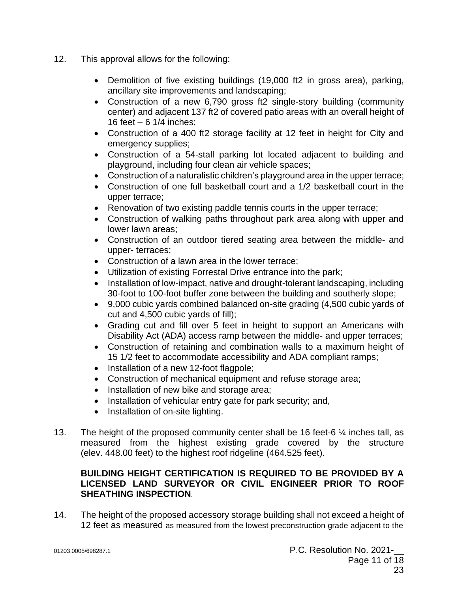- 12. This approval allows for the following:
	- Demolition of five existing buildings (19,000 ft2 in gross area), parking, ancillary site improvements and landscaping;
	- Construction of a new 6,790 gross ft2 single-story building (community center) and adjacent 137 ft2 of covered patio areas with an overall height of 16 feet  $-6$  1/4 inches;
	- Construction of a 400 ft2 storage facility at 12 feet in height for City and emergency supplies;
	- Construction of a 54-stall parking lot located adjacent to building and playground, including four clean air vehicle spaces;
	- Construction of a naturalistic children's playground area in the upper terrace;
	- Construction of one full basketball court and a 1/2 basketball court in the upper terrace;
	- Renovation of two existing paddle tennis courts in the upper terrace;
	- Construction of walking paths throughout park area along with upper and lower lawn areas;
	- Construction of an outdoor tiered seating area between the middle- and upper- terraces;
	- Construction of a lawn area in the lower terrace;
	- Utilization of existing Forrestal Drive entrance into the park;
	- Installation of low-impact, native and drought-tolerant landscaping, including 30-foot to 100-foot buffer zone between the building and southerly slope;
	- 9,000 cubic yards combined balanced on-site grading (4,500 cubic yards of cut and 4,500 cubic yards of fill);
	- Grading cut and fill over 5 feet in height to support an Americans with Disability Act (ADA) access ramp between the middle- and upper terraces;
	- Construction of retaining and combination walls to a maximum height of 15 1/2 feet to accommodate accessibility and ADA compliant ramps;
	- Installation of a new 12-foot flagpole;
	- Construction of mechanical equipment and refuse storage area;
	- Installation of new bike and storage area;
	- Installation of vehicular entry gate for park security; and,
	- Installation of on-site lighting.
- 13. The height of the proposed community center shall be 16 feet-6  $\frac{1}{4}$  inches tall, as measured from the highest existing grade covered by the structure (elev. 448.00 feet) to the highest roof ridgeline (464.525 feet).

## **BUILDING HEIGHT CERTIFICATION IS REQUIRED TO BE PROVIDED BY A LICENSED LAND SURVEYOR OR CIVIL ENGINEER PRIOR TO ROOF SHEATHING INSPECTION**.

14. The height of the proposed accessory storage building shall not exceed a height of 12 feet as measured as measured from the lowest preconstruction grade adjacent to the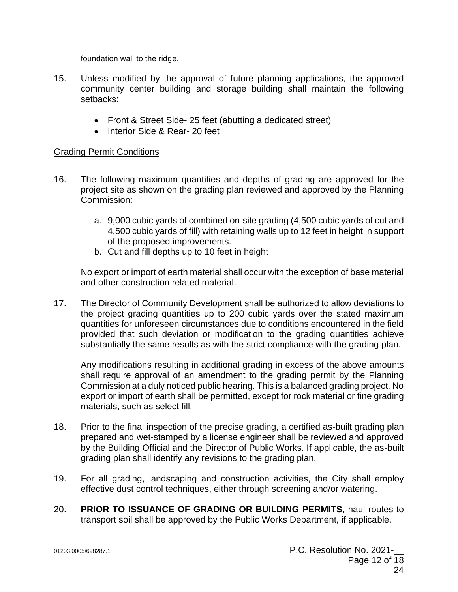foundation wall to the ridge.

- 15. Unless modified by the approval of future planning applications, the approved community center building and storage building shall maintain the following setbacks:
	- Front & Street Side- 25 feet (abutting a dedicated street)
	- Interior Side & Rear- 20 feet

#### Grading Permit Conditions

- 16. The following maximum quantities and depths of grading are approved for the project site as shown on the grading plan reviewed and approved by the Planning Commission:
	- a. 9,000 cubic yards of combined on-site grading (4,500 cubic yards of cut and 4,500 cubic yards of fill) with retaining walls up to 12 feet in height in support of the proposed improvements.
	- b. Cut and fill depths up to 10 feet in height

No export or import of earth material shall occur with the exception of base material and other construction related material.

17. The Director of Community Development shall be authorized to allow deviations to the project grading quantities up to 200 cubic yards over the stated maximum quantities for unforeseen circumstances due to conditions encountered in the field provided that such deviation or modification to the grading quantities achieve substantially the same results as with the strict compliance with the grading plan.

Any modifications resulting in additional grading in excess of the above amounts shall require approval of an amendment to the grading permit by the Planning Commission at a duly noticed public hearing. This is a balanced grading project. No export or import of earth shall be permitted, except for rock material or fine grading materials, such as select fill.

- 18. Prior to the final inspection of the precise grading, a certified as-built grading plan prepared and wet-stamped by a license engineer shall be reviewed and approved by the Building Official and the Director of Public Works. If applicable, the as-built grading plan shall identify any revisions to the grading plan.
- 19. For all grading, landscaping and construction activities, the City shall employ effective dust control techniques, either through screening and/or watering.
- 20. **PRIOR TO ISSUANCE OF GRADING OR BUILDING PERMITS**, haul routes to transport soil shall be approved by the Public Works Department, if applicable.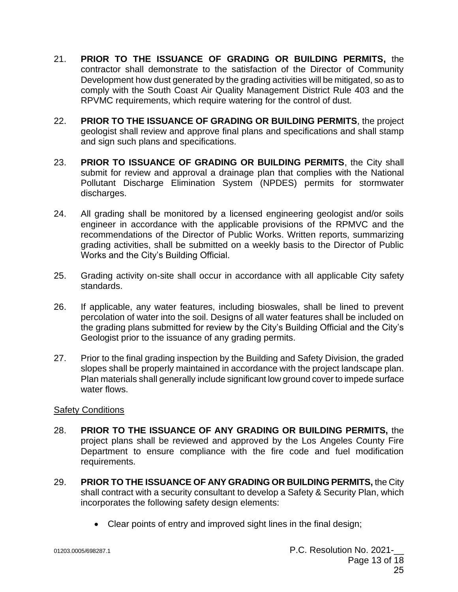- 21. **PRIOR TO THE ISSUANCE OF GRADING OR BUILDING PERMITS,** the contractor shall demonstrate to the satisfaction of the Director of Community Development how dust generated by the grading activities will be mitigated, so as to comply with the South Coast Air Quality Management District Rule 403 and the RPVMC requirements, which require watering for the control of dust.
- 22. **PRIOR TO THE ISSUANCE OF GRADING OR BUILDING PERMITS**, the project geologist shall review and approve final plans and specifications and shall stamp and sign such plans and specifications.
- 23. **PRIOR TO ISSUANCE OF GRADING OR BUILDING PERMITS**, the City shall submit for review and approval a drainage plan that complies with the National Pollutant Discharge Elimination System (NPDES) permits for stormwater discharges.
- 24. All grading shall be monitored by a licensed engineering geologist and/or soils engineer in accordance with the applicable provisions of the RPMVC and the recommendations of the Director of Public Works. Written reports, summarizing grading activities, shall be submitted on a weekly basis to the Director of Public Works and the City's Building Official.
- 25. Grading activity on-site shall occur in accordance with all applicable City safety standards.
- 26. If applicable, any water features, including bioswales, shall be lined to prevent percolation of water into the soil. Designs of all water features shall be included on the grading plans submitted for review by the City's Building Official and the City's Geologist prior to the issuance of any grading permits.
- 27. Prior to the final grading inspection by the Building and Safety Division, the graded slopes shall be properly maintained in accordance with the project landscape plan. Plan materials shall generally include significant low ground cover to impede surface water flows.

#### Safety Conditions

- 28. **PRIOR TO THE ISSUANCE OF ANY GRADING OR BUILDING PERMITS,** the project plans shall be reviewed and approved by the Los Angeles County Fire Department to ensure compliance with the fire code and fuel modification requirements.
- 29. **PRIOR TO THE ISSUANCE OF ANY GRADING OR BUILDING PERMITS,** the City shall contract with a security consultant to develop a Safety & Security Plan, which incorporates the following safety design elements:
	- Clear points of entry and improved sight lines in the final design;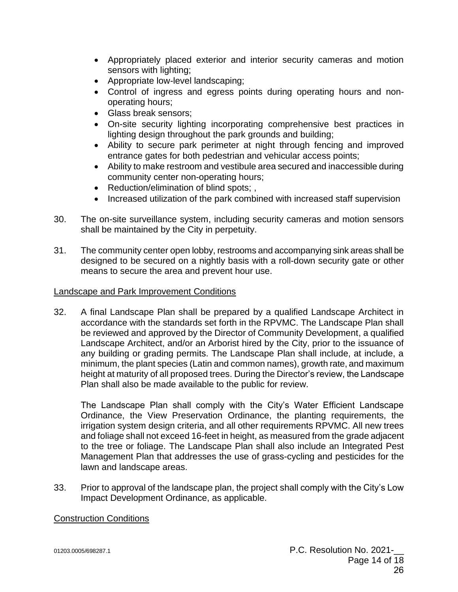- Appropriately placed exterior and interior security cameras and motion sensors with lighting;
- Appropriate low-level landscaping;
- Control of ingress and egress points during operating hours and nonoperating hours;
- Glass break sensors;
- On-site security lighting incorporating comprehensive best practices in lighting design throughout the park grounds and building;
- Ability to secure park perimeter at night through fencing and improved entrance gates for both pedestrian and vehicular access points;
- Ability to make restroom and vestibule area secured and inaccessible during community center non-operating hours;
- Reduction/elimination of blind spots; ,
- Increased utilization of the park combined with increased staff supervision
- 30. The on-site surveillance system, including security cameras and motion sensors shall be maintained by the City in perpetuity.
- 31. The community center open lobby, restrooms and accompanying sink areas shall be designed to be secured on a nightly basis with a roll-down security gate or other means to secure the area and prevent hour use.

#### Landscape and Park Improvement Conditions

32. A final Landscape Plan shall be prepared by a qualified Landscape Architect in accordance with the standards set forth in the RPVMC. The Landscape Plan shall be reviewed and approved by the Director of Community Development, a qualified Landscape Architect, and/or an Arborist hired by the City, prior to the issuance of any building or grading permits. The Landscape Plan shall include, at include, a minimum, the plant species (Latin and common names), growth rate, and maximum height at maturity of all proposed trees. During the Director's review, the Landscape Plan shall also be made available to the public for review.

The Landscape Plan shall comply with the City's Water Efficient Landscape Ordinance, the View Preservation Ordinance, the planting requirements, the irrigation system design criteria, and all other requirements RPVMC. All new trees and foliage shall not exceed 16-feet in height, as measured from the grade adjacent to the tree or foliage. The Landscape Plan shall also include an Integrated Pest Management Plan that addresses the use of grass-cycling and pesticides for the lawn and landscape areas.

33. Prior to approval of the landscape plan, the project shall comply with the City's Low Impact Development Ordinance, as applicable.

#### Construction Conditions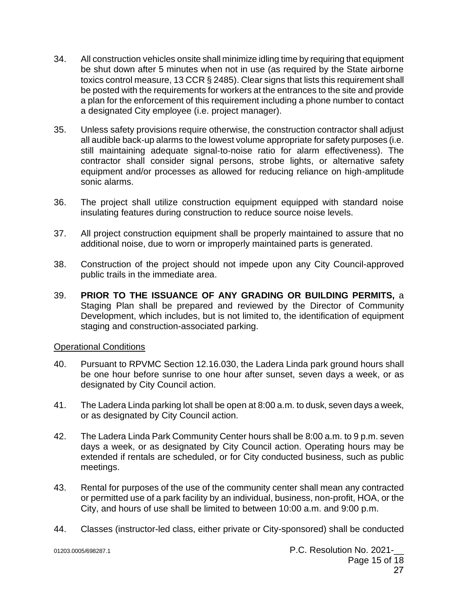- 34. All construction vehicles onsite shall minimize idling time by requiring that equipment be shut down after 5 minutes when not in use (as required by the State airborne toxics control measure, 13 CCR § 2485). Clear signs that lists this requirement shall be posted with the requirements for workers at the entrances to the site and provide a plan for the enforcement of this requirement including a phone number to contact a designated City employee (i.e. project manager).
- 35. Unless safety provisions require otherwise, the construction contractor shall adjust all audible back‐up alarms to the lowest volume appropriate for safety purposes (i.e. still maintaining adequate signal-to-noise ratio for alarm effectiveness). The contractor shall consider signal persons, strobe lights, or alternative safety equipment and/or processes as allowed for reducing reliance on high‐amplitude sonic alarms.
- 36. The project shall utilize construction equipment equipped with standard noise insulating features during construction to reduce source noise levels.
- 37. All project construction equipment shall be properly maintained to assure that no additional noise, due to worn or improperly maintained parts is generated.
- 38. Construction of the project should not impede upon any City Council-approved public trails in the immediate area.
- 39. **PRIOR TO THE ISSUANCE OF ANY GRADING OR BUILDING PERMITS,** a Staging Plan shall be prepared and reviewed by the Director of Community Development, which includes, but is not limited to, the identification of equipment staging and construction-associated parking.

#### Operational Conditions

- 40. Pursuant to RPVMC Section 12.16.030, the Ladera Linda park ground hours shall be one hour before sunrise to one hour after sunset, seven days a week, or as designated by City Council action.
- 41. The Ladera Linda parking lot shall be open at 8:00 a.m. to dusk, seven days a week, or as designated by City Council action.
- 42. The Ladera Linda Park Community Center hours shall be 8:00 a.m. to 9 p.m. seven days a week, or as designated by City Council action. Operating hours may be extended if rentals are scheduled, or for City conducted business, such as public meetings.
- 43. Rental for purposes of the use of the community center shall mean any contracted or permitted use of a park facility by an individual, business, non-profit, HOA, or the City, and hours of use shall be limited to between 10:00 a.m. and 9:00 p.m.
- 44. Classes (instructor-led class, either private or City-sponsored) shall be conducted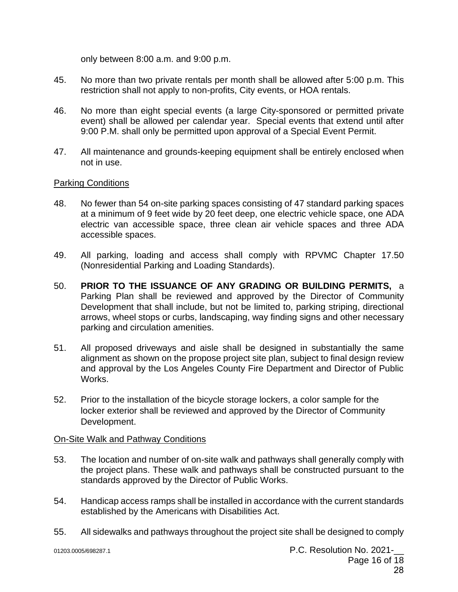only between 8:00 a.m. and 9:00 p.m.

- 45. No more than two private rentals per month shall be allowed after 5:00 p.m. This restriction shall not apply to non-profits, City events, or HOA rentals.
- 46. No more than eight special events (a large City-sponsored or permitted private event) shall be allowed per calendar year. Special events that extend until after 9:00 P.M. shall only be permitted upon approval of a Special Event Permit.
- 47. All maintenance and grounds-keeping equipment shall be entirely enclosed when not in use.

#### Parking Conditions

- 48. No fewer than 54 on-site parking spaces consisting of 47 standard parking spaces at a minimum of 9 feet wide by 20 feet deep, one electric vehicle space, one ADA electric van accessible space, three clean air vehicle spaces and three ADA accessible spaces.
- 49. All parking, loading and access shall comply with RPVMC Chapter 17.50 (Nonresidential Parking and Loading Standards).
- 50. **PRIOR TO THE ISSUANCE OF ANY GRADING OR BUILDING PERMITS,** a Parking Plan shall be reviewed and approved by the Director of Community Development that shall include, but not be limited to, parking striping, directional arrows, wheel stops or curbs, landscaping, way finding signs and other necessary parking and circulation amenities.
- 51. All proposed driveways and aisle shall be designed in substantially the same alignment as shown on the propose project site plan, subject to final design review and approval by the Los Angeles County Fire Department and Director of Public Works.
- 52. Prior to the installation of the bicycle storage lockers, a color sample for the locker exterior shall be reviewed and approved by the Director of Community Development.

### On-Site Walk and Pathway Conditions

- 53. The location and number of on-site walk and pathways shall generally comply with the project plans. These walk and pathways shall be constructed pursuant to the standards approved by the Director of Public Works.
- 54. Handicap access ramps shall be installed in accordance with the current standards established by the Americans with Disabilities Act.
- 55. All sidewalks and pathways throughout the project site shall be designed to comply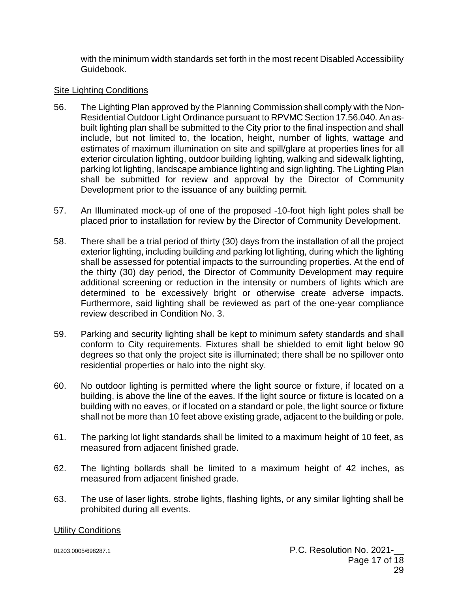with the minimum width standards set forth in the most recent Disabled Accessibility Guidebook.

#### Site Lighting Conditions

- 56. The Lighting Plan approved by the Planning Commission shall comply with the Non-Residential Outdoor Light Ordinance pursuant to RPVMC Section 17.56.040. An asbuilt lighting plan shall be submitted to the City prior to the final inspection and shall include, but not limited to, the location, height, number of lights, wattage and estimates of maximum illumination on site and spill/glare at properties lines for all exterior circulation lighting, outdoor building lighting, walking and sidewalk lighting, parking lot lighting, landscape ambiance lighting and sign lighting. The Lighting Plan shall be submitted for review and approval by the Director of Community Development prior to the issuance of any building permit.
- 57. An Illuminated mock-up of one of the proposed -10-foot high light poles shall be placed prior to installation for review by the Director of Community Development.
- 58. There shall be a trial period of thirty (30) days from the installation of all the project exterior lighting, including building and parking lot lighting, during which the lighting shall be assessed for potential impacts to the surrounding properties. At the end of the thirty (30) day period, the Director of Community Development may require additional screening or reduction in the intensity or numbers of lights which are determined to be excessively bright or otherwise create adverse impacts. Furthermore, said lighting shall be reviewed as part of the one-year compliance review described in Condition No. 3.
- 59. Parking and security lighting shall be kept to minimum safety standards and shall conform to City requirements. Fixtures shall be shielded to emit light below 90 degrees so that only the project site is illuminated; there shall be no spillover onto residential properties or halo into the night sky.
- 60. No outdoor lighting is permitted where the light source or fixture, if located on a building, is above the line of the eaves. If the light source or fixture is located on a building with no eaves, or if located on a standard or pole, the light source or fixture shall not be more than 10 feet above existing grade, adjacent to the building or pole.
- 61. The parking lot light standards shall be limited to a maximum height of 10 feet, as measured from adjacent finished grade.
- 62. The lighting bollards shall be limited to a maximum height of 42 inches, as measured from adjacent finished grade.
- 63. The use of laser lights, strobe lights, flashing lights, or any similar lighting shall be prohibited during all events.

#### Utility Conditions